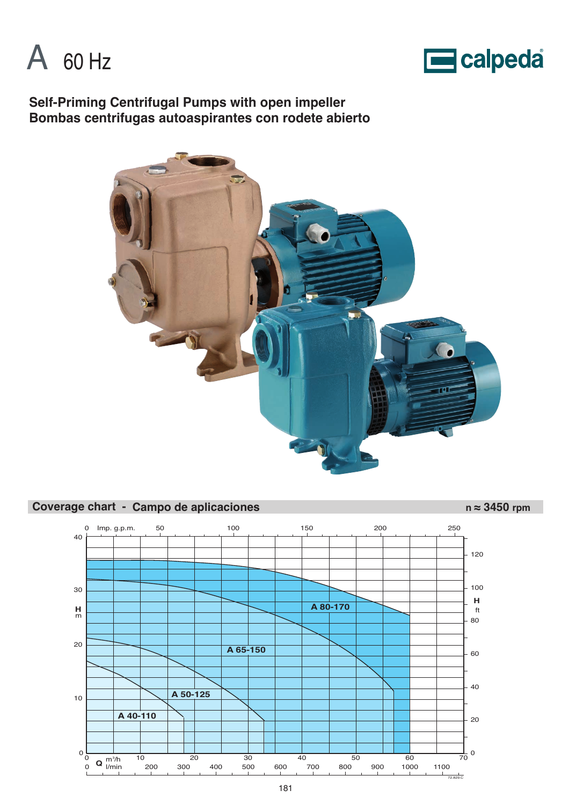



**Self-Priming Centrifugal Pumps with open impeller Bombas centrifugas autoaspirantes con rodete abierto**



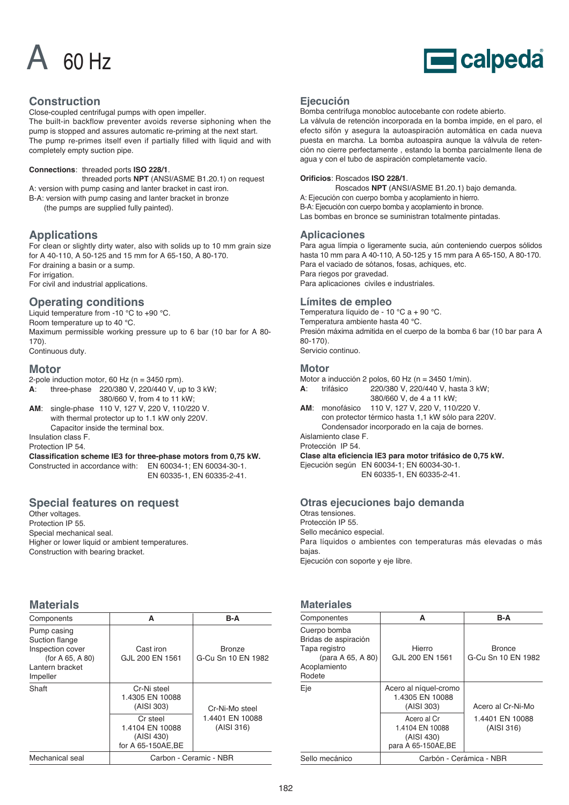



# **Construction**

Close-coupled centrifugal pumps with open impeller.

The built-in backflow preventer avoids reverse siphoning when the pump is stopped and assures automatic re-priming at the next start. The pump re-primes itself even if partially filled with liquid and with completely empty suction pipe.

### **Connections**: threaded ports **ISO 228/1**.

threaded ports **NPT** (ANSI/ASME B1.20.1) on request A: version with pump casing and lanter bracket in cast iron. B-A: version with pump casing and lanter bracket in bronze

(the pumps are supplied fully painted).

# **Applications**

For clean or slightly dirty water, also with solids up to 10 mm grain size for A 40-110, A 50-125 and 15 mm for A 65-150, A 80-170. For draining a basin or a sump. For irrigation. For civil and industrial applications.

# **Operating conditions**

Liquid temperature from -10 °C to +90 °C. Room temperature up to 40 °C. Maximum permissible working pressure up to 6 bar (10 bar for A 80- 170).

Continuous duty.

### **Motor**

2-pole induction motor, 60 Hz (n = 3450 rpm).

- **A**: three-phase 220/380 V, 220/440 V, up to 3 kW; 380/660 V, from 4 to 11 kW;
- **AM**: single-phase 110 V, 127 V, 220 V, 110/220 V. with thermal protector up to 1.1 kW only 220V. Capacitor inside the terminal box.

Insulation class F. Protection IP 54.

**Classification scheme IE3 for three-phase motors from 0,75 kW.** Constructed in accordance with: EN 60034-1; EN 60034-30-1.

EN 60335-1, EN 60335-2-41.

# **Special features on request**

Other voltages. Protection IP 55. Special mechanical seal. Higher or lower liquid or ambient temperatures. Construction with bearing bracket.

# **Materials**

| Components                                                                                              | A                                                              | B-A                                 |  |  |  |
|---------------------------------------------------------------------------------------------------------|----------------------------------------------------------------|-------------------------------------|--|--|--|
| Pump casing<br>Suction flange<br>Inspection cover<br>(for A $65, A 80$ )<br>Lantern bracket<br>Impeller | Cast iron<br>GJL 200 EN 1561                                   | <b>Bronze</b><br>G-Cu Sn 10 EN 1982 |  |  |  |
| Shaft                                                                                                   | Cr-Ni steel<br>1.4305 EN 10088<br>(AISI 303)                   | Cr-Ni-Mo steel                      |  |  |  |
|                                                                                                         | Cr steel<br>1.4104 EN 10088<br>(AISI 430)<br>for A 65-150AE.BE | 1.4401 EN 10088<br>(AISI 316)       |  |  |  |
| Mechanical seal                                                                                         |                                                                | Carbon - Ceramic - NBR              |  |  |  |

### **Ejecución**

Bomba centrífuga monobloc autocebante con rodete abierto.

La válvula de retención incorporada en la bomba impide, en el paro, el efecto sifón y asegura la autoaspiración automática en cada nueva puesta en marcha. La bomba autoaspira aunque la válvula de retención no cierre perfectamente , estando la bomba parcialmente llena de agua y con el tubo de aspiración completamente vacío.

### **Orificios**: Roscados **ISO 228/1**.

Roscados **NPT** (ANSI/ASME B1.20.1) bajo demanda. A: Ejecución con cuerpo bomba y acoplamiento in hierro. B-A: Ejecución con cuerpo bomba y acoplamiento in bronce. Las bombas en bronce se suministran totalmente pintadas.

### **Aplicaciones**

Para agua límpia o ligeramente sucia, aún conteniendo cuerpos sólidos hasta 10 mm para A 40-110, A 50-125 y 15 mm para A 65-150, A 80-170. Para el vaciado de sótanos, fosas, achiques, etc. Para riegos por gravedad. Para aplicaciones civiles e industriales.

### **Límites de empleo**

Temperatura líquido de - 10 °C a + 90 °C. Temperatura ambiente hasta 40 °C. Presión máxima admitida en el cuerpo de la bomba 6 bar (10 bar para A 80-170). Servicio continuo.

# **Motor**

Motor a inducción 2 polos, 60 Hz (n = 3450 1/min). **A**: trifásico 220/380 V, 220/440 V, hasta 3 kW; 380/660 V, de 4 a 11 kW;

**AM**: monofásico 110 V, 127 V, 220 V, 110/220 V. con protector térmico hasta 1,1 kW sólo para 220V. Condensador incorporado en la caja de bornes.

Aislamiento clase F. Protección IP 54.

**Clase alta eficiencia IE3 para motor trifásico de 0,75 kW.**

Ejecución según EN 60034-1; EN 60034-30-1.

EN 60335-1, EN 60335-2-41.

# **Otras ejecuciones bajo demanda**

Otras tensiones.

Protección IP 55.

Sello mecánico especial.

Para líquidos o ambientes con temperaturas más elevadas o más bajas.

Ejecución con soporte y eje libre.

# **Materiales**

| Componentes                                                                                          | A                                                                   | B-A                                 |  |  |  |
|------------------------------------------------------------------------------------------------------|---------------------------------------------------------------------|-------------------------------------|--|--|--|
| Cuerpo bomba<br>Bridas de aspiración<br>Tapa registro<br>(para A 65, A 80)<br>Acoplamiento<br>Rodete | Hierro<br>GJL 200 EN 1561                                           | <b>Bronce</b><br>G-Cu Sn 10 EN 1982 |  |  |  |
| Eje                                                                                                  | Acero al níquel-cromo<br>1.4305 EN 10088<br>(AISI 303)              | Acero al Cr-Ni-Mo                   |  |  |  |
|                                                                                                      | Acero al Cr<br>1.4104 EN 10088<br>(AISI 430)<br>para A 65-150AE, BE | 1.4401 EN 10088<br>(AISI 316)       |  |  |  |
| Sello mecánico                                                                                       | Carbón - Cerámica - NBR                                             |                                     |  |  |  |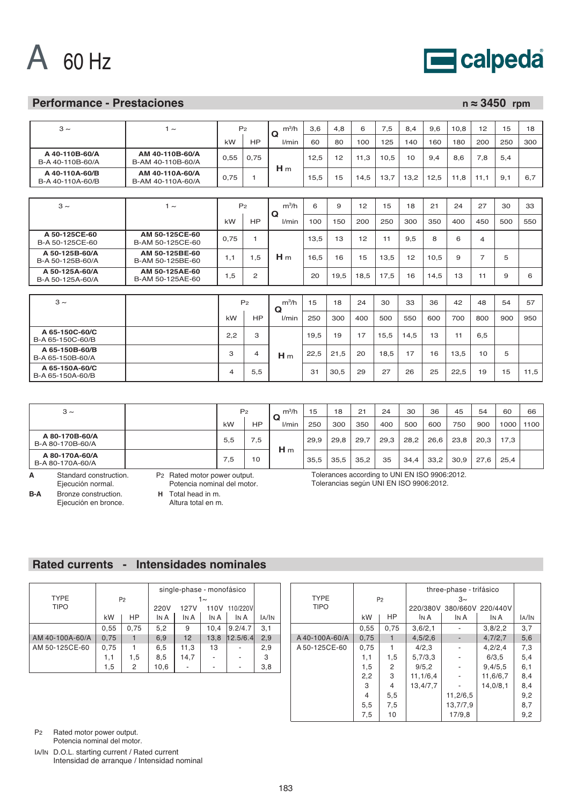



# **Performance - Prestaciones n ≈ 3450 rpm**

| $3 \sim$                           | $1 \sim$                             |      | P <sub>2</sub> | $m^3/h$<br>Ω         | 3.6  | 4.8  | 6    | 7,5  | 8.4  | 9.6  | 10.8 | 12             | 15  | 18   |
|------------------------------------|--------------------------------------|------|----------------|----------------------|------|------|------|------|------|------|------|----------------|-----|------|
|                                    |                                      | kW   | <b>HP</b>      | l/min                | 60   | 80   | 100  | 125  | 140  | 160  | 180  | 200            | 250 | 300  |
| A 40-110B-60/A<br>B-A 40-110B-60/A | AM 40-110B-60/A<br>B-AM 40-110B-60/A | 0,55 | 0.75           |                      | 12.5 | 12   | 11.3 | 10.5 | 10   | 9.4  | 8.6  | 7,8            | 5,4 |      |
| A 40-110A-60/B<br>B-A 40-110A-60/B | AM 40-110A-60/A<br>B-AM 40-110A-60/A | 0.75 | 1              | H <sub>m</sub>       | 15.5 | 15   | 14.5 | 13.7 | 13,2 | 12.5 | 11.8 | 11.1           | 9.1 | 6.7  |
|                                    |                                      |      |                |                      |      |      |      |      |      |      |      |                |     |      |
| $3 \sim$                           | $1 \sim$                             |      | P <sub>2</sub> | $m^3/h$              | 6    | 9    | 12   | 15   | 18   | 21   | 24   | 27             | 30  | 33   |
|                                    |                                      | kW   | HP             | $\mathbf Q$<br>I/min | 100  | 150  | 200  | 250  | 300  | 350  | 400  | 450            | 500 | 550  |
| A 50-125CE-60<br>B-A 50-125CE-60   | AM 50-125CE-60<br>B-AM 50-125CE-60   | 0.75 | $\mathbf{1}$   |                      | 13.5 | 13   | 12   | 11   | 9.5  | 8    | 6    | 4              |     |      |
| A 50-125B-60/A<br>B-A 50-125B-60/A | AM 50-125BE-60<br>B-AM 50-125BE-60   | 1,1  | 1.5            | H <sub>m</sub>       | 16.5 | 16   | 15   | 13,5 | 12   | 10,5 | 9    | $\overline{7}$ | 5   |      |
| A 50-125A-60/A<br>B-A 50-125A-60/A | AM 50-125AE-60<br>B-AM 50-125AE-60   | 1,5  | 2              |                      | 20   | 19,5 | 18.5 | 17.5 | 16   | 14.5 | 13   | 11             | 9   | 6    |
|                                    |                                      |      |                |                      |      |      |      |      |      |      |      |                |     |      |
| $3 \sim$                           |                                      |      | P <sub>2</sub> | $m^3/h$<br>Q         | 15   | 18   | 24   | 30   | 33   | 36   | 42   | 48             | 54  | 57   |
|                                    |                                      | kW   | HP             | l/min                | 250  | 300  | 400  | 500  | 550  | 600  | 700  | 800            | 900 | 950  |
| A 65-150C-60/C<br>B-A 65-150C-60/B |                                      | 2,2  | 3              |                      | 19.5 | 19   | 17   | 15,5 | 14.5 | 13   | 11   | 6.5            |     |      |
| A 65-150B-60/B<br>B-A 65-150B-60/A |                                      | 3    | 4              | H <sub>m</sub>       | 22,5 | 21,5 | 20   | 18,5 | 17   | 16   | 13.5 | 10             | 5   |      |
| A 65-150A-60/C<br>B-A 65-150A-60/B |                                      | 4    | 5,5            |                      | 31   | 30,5 | 29   | 27   | 26   | 25   | 22,5 | 19             | 15  | 11.5 |

| $3 \sim$                           |                                          |     | P <sub>2</sub> | $m^3/h$        | 15   | 18   | 21   | 24   | 30                                            | 36   | 45   | 54   | 60   | 66   |
|------------------------------------|------------------------------------------|-----|----------------|----------------|------|------|------|------|-----------------------------------------------|------|------|------|------|------|
|                                    |                                          | kW  | НP             | Q<br>l/min     | 250  | 300  | 350  | 400  | 500                                           | 600  | 750  | 900  | 1000 | 1100 |
| A 80-170B-60/A<br>B-A 80-170B-60/A |                                          | 5,5 | 5.'            |                | 29,9 | 29.8 | 29,7 | 29,3 | 28,2                                          | 26.6 | 23,8 | 20,3 | 17.3 |      |
| A 80-170A-60/A<br>B-A 80-170A-60/A |                                          | 7.5 | 10             | H <sub>m</sub> | 35.5 | 35.5 | 35.2 | 35   | 34.4                                          | 33.2 | 30,9 | 27.6 | 25.4 |      |
| Standard construction.<br>A        | P <sub>2</sub> Rated motor power output. |     |                |                |      |      |      |      | Tolerances according to UNI EN ISO 9906:2012. |      |      |      |      |      |

Ejecución normal. **B-A** Bronze construction.

Ejecución en bronce.

Potencia nominal del motor. **H** Total head in m.

Altura total en m.

Tolerances according to UNI EN ISO 9906:2012. Tolerancias según UNI EN ISO 9906:2012.

# **Rated currents - Intensidades nominales**

| <b>TYPE</b>     |      | P <sub>2</sub> |                  | single-phase - monofásico<br>$1\sim$ |      |          |       |  |
|-----------------|------|----------------|------------------|--------------------------------------|------|----------|-------|--|
| <b>TIPO</b>     |      |                | 220V             | 127V                                 | 110V | 110/220V |       |  |
|                 | kW   | HP.            | I <sub>N</sub> A | IN A                                 | IN A | IN A     | IA/IN |  |
|                 | 0,55 | 0,75           | 5,2              | 9                                    | 10.4 | 9.2/4.7  | 3,1   |  |
| AM 40-100A-60/A | 0,75 |                | 6,9              | 12                                   | 13,8 | 12.5/6.4 | 2,9   |  |
| AM 50-125CE-60  | 0.75 |                | 6,5              | 11,3                                 | 13   |          | 2,9   |  |
|                 | 1,1  | 1,5            | 8,5              | 14,7                                 |      |          | 3     |  |
|                 | 1,5  | 2              | 10,6             |                                      |      |          | 3,8   |  |

| <b>TYPE</b>    | P <sub>2</sub> |      | three-phase - trifásico |          |                            |       |
|----------------|----------------|------|-------------------------|----------|----------------------------|-------|
| <b>TIPO</b>    |                |      |                         |          | 220/380V 380/660V 220/440V |       |
|                | kW             | HP.  | IN A                    | IN A     | IN A                       | IA/IN |
|                | 0,55           | 0.75 | 3,6/2,1                 |          | 3,8/2,2                    | 3,7   |
| A 40-100A-60/A | 0,75           | 1    | 4,5/2,6                 |          | 4,7/2,7                    | 5,6   |
| A 50-125CE-60  | 0,75           |      | 4/2,3                   |          | 4,2/2,4                    | 7,3   |
|                | 1,1            | 1,5  | 5,7/3,3                 |          | 6/3,5                      | 5,4   |
|                | 1,5            | 2    | 9/5, 2                  |          | 9,4/5,5                    | 6,1   |
|                | 2,2            | 3    | 11, 1/6, 4              |          | 11,6/6,7                   | 8,4   |
|                | 3              | 4    | 13.4/7.7                |          | 14.0/8.1                   | 8,4   |
|                | 4              | 5,5  |                         | 11,2/6,5 |                            | 9,2   |
|                | 5,5            | 7,5  |                         | 13,7/7,9 |                            | 8,7   |
|                | 7,5            | 10   |                         | 17/9.8   |                            | 9,2   |

P2 Rated motor power output.

Potencia nominal del motor.

IA/IN D.O.L. starting current / Rated current Intensidad de arranque / Intensidad nominal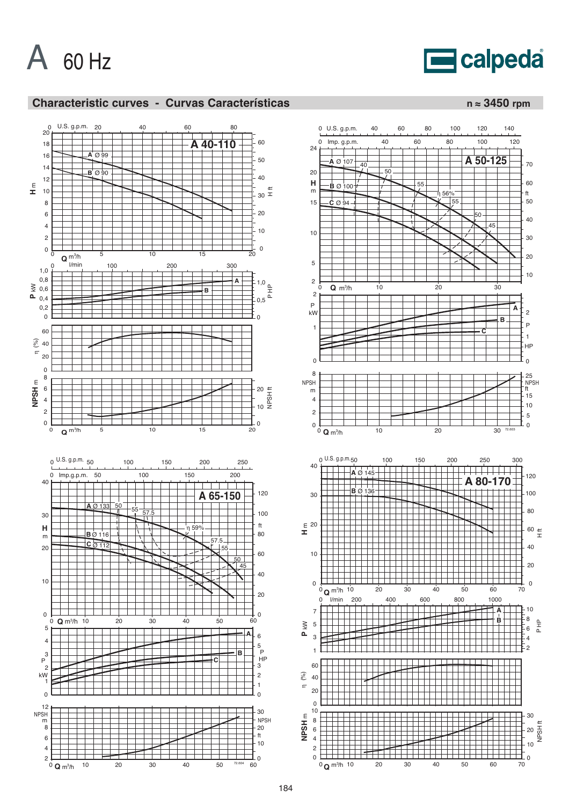



# **Characteristic curves - Curvas Características n** ≈ 3450 rpm



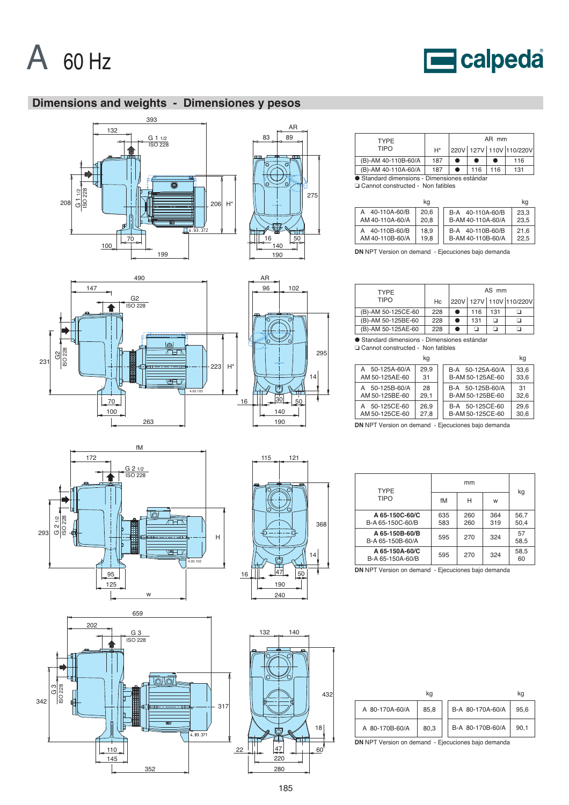

147

231 G2 ISO 228



# **Dimensions and weights - Dimensiones y pesos**



G2 ISO 228

490



 $96$  102

AR

| <b>TYPF</b>                                  |       |  |     | AR mm |                         |  |  |  |
|----------------------------------------------|-------|--|-----|-------|-------------------------|--|--|--|
| <b>TIPO</b>                                  | $H^*$ |  |     |       | 220V 127V 110V 110/220V |  |  |  |
| (B)-AM 40-110B-60/A                          | 187   |  |     |       | 116                     |  |  |  |
| (B)-AM 40-110A-60/A                          | 187   |  | 116 | 116   | 131                     |  |  |  |
| ● Standard dimensions - Dimensiones estándar |       |  |     |       |                         |  |  |  |
| □ Cannot constructed - Non fatibles          |       |  |     |       |                         |  |  |  |

|                                      | kg           |                                                          | kq |
|--------------------------------------|--------------|----------------------------------------------------------|----|
| 40-110A-60/B<br>А<br>AM 40-110A-60/A | 20.6<br>20.8 | 23.3<br>40-110A-60/B<br>B-A<br>B-AM 40-110A-60/A<br>23.5 |    |
| 40-110B-60/B<br>AM 40-110B-60/A      | 18.9<br>19.8 | 21.6<br>40-110B-60/B<br>B-A<br>B-AM 40-110B-60/A<br>22.5 |    |

**DN** NPT Version on demand - Ejecuciones bajo demanda

| <b>TYPF</b>        |     | AS mm |     |     |                               |  |  |
|--------------------|-----|-------|-----|-----|-------------------------------|--|--|
| <b>TIPO</b>        | Hc  |       |     |     | 220V   127V   110V   110/220V |  |  |
| (B)-AM 50-125CE-60 | 228 |       | 116 | 131 |                               |  |  |
| (B)-AM 50-125BE-60 | 228 |       | 131 | n   |                               |  |  |
| (B)-AM 50-125AE-60 | 228 |       |     |     |                               |  |  |

● Standard dimensions - Dimensiones estándar<br>□ Cannot constructed - Non fatibles

|                                                                                                           | kq         |                                                            | kq           |  |  |  |  |
|-----------------------------------------------------------------------------------------------------------|------------|------------------------------------------------------------|--------------|--|--|--|--|
| 50-125A-60/A<br>AM 50-125AE-60                                                                            | 29.9<br>31 | B-A 50-125A-60/A<br>B-AM 50-125AE-60                       | 33.6<br>33.6 |  |  |  |  |
| 50-125B-60/A<br>A<br>AM 50-125BE-60                                                                       | 28<br>29,1 | B-A 50-125B-60/A<br>B-AM 50-125BE-60                       | 31<br>32,6   |  |  |  |  |
| 26.9<br>29.6<br>50-125CE-60<br>B-A 50-125CE-60<br>A<br>AM 50-125CE-60<br>27.8<br>30,6<br>B-AM 50-125CE-60 |            |                                                            |              |  |  |  |  |
|                                                                                                           |            | <b>DN NPT Version on demand - Ejecuciones bajo demanda</b> |              |  |  |  |  |

fM 172 G 2 1/2<br>ISO 228 G 2 1/2 ISO 228 ਹੋ ਜਾ 293 H  $\overline{+F}$  $V$ 4.93.102

w

263

4.93.103

<u>gi</u><br>Atr

للكتا

223

H\*

16

100 70

95 125



Ō

295

14





| <b>TYPE</b>                        |            |            |            |              |
|------------------------------------|------------|------------|------------|--------------|
| <b>TIPO</b>                        | fM         | н          | w          | kg           |
| A 65-150C-60/C<br>B-A 65-150C-60/B | 635<br>583 | 260<br>260 | 364<br>319 | 56,7<br>50.4 |
| A 65-150B-60/B<br>B-A 65-150B-60/A | 595        | 270        | 324        | 57<br>58,5   |
| A 65-150A-60/C<br>B-A 65-150A-60/B | 595        | 270        | 324        | 58,5<br>60   |

**DN** NPT Version on demand - Ejecuciones bajo demanda

|                                                            | kq   |  |                  | kq   |
|------------------------------------------------------------|------|--|------------------|------|
| A 80-170A-60/A                                             | 85.8 |  | B-A 80-170A-60/A | 95.6 |
| A 80-170B-60/A                                             | 80.3 |  | B-A 80-170B-60/A | 90.1 |
| <b>DN</b> NPT Version on demand - Ejecuciones bajo demanda |      |  |                  |      |